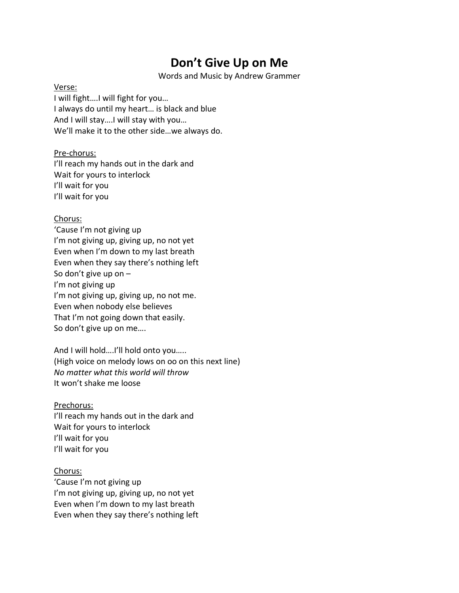# **Don't Give Up on Me**

Words and Music by Andrew Grammer

#### Verse:

I will fight….I will fight for you… I always do until my heart… is black and blue And I will stay….I will stay with you… We'll make it to the other side…we always do.

## Pre-chorus:

I'll reach my hands out in the dark and Wait for yours to interlock I'll wait for you I'll wait for you

## Chorus:

'Cause I'm not giving up I'm not giving up, giving up, no not yet Even when I'm down to my last breath Even when they say there's nothing left So don't give up on – I'm not giving up I'm not giving up, giving up, no not me. Even when nobody else believes That I'm not going down that easily. So don't give up on me….

And I will hold….I'll hold onto you….. (High voice on melody lows on oo on this next line) *No matter what this world will throw* It won't shake me loose

## Prechorus:

I'll reach my hands out in the dark and Wait for yours to interlock I'll wait for you I'll wait for you

## Chorus:

'Cause I'm not giving up I'm not giving up, giving up, no not yet Even when I'm down to my last breath Even when they say there's nothing left